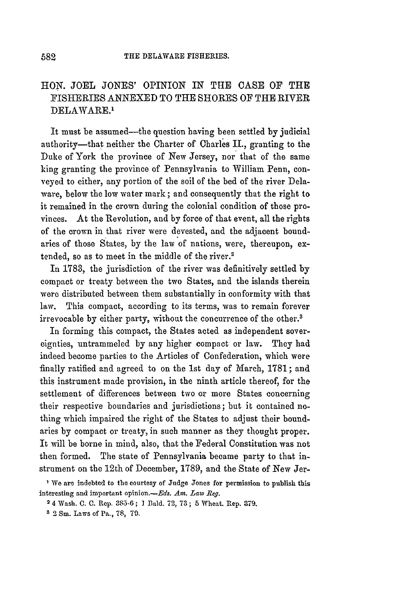## HON. JOEL JONES' OPINION IN TIE CASE OF THE FISHERIES ANNEXED TO THE SHORES OF THE RIVER DELAWARE.'

It must be assumed—the question having been settled by judicial authority-that neither the Charter of Charles II., granting to the Duke of York the province of New Jersey, nor that of the same king granting the province of Pennsylvania to William Penn, conveyed to either, any portion of the soil of the bed of the river Delaware, below the low water mark; and consequently that the right to it remained in the crown during the colonial condition of those provinces. At the Revolution, and by force of that event, all the rights of the crown in that river were devested, and the adjacent boundaries of those States, by the law of nations, were, thereupon, extended, so as to meet in the middle of the river.<sup>2</sup>

In 1783, the jurisdiction of the river was definitively settled by compact or treaty between the two States, and the islands therein were distributed between them substantially in conformity with that law. This compact, according to its terms, was to remain forever irrevocable by either party, without the concurrence of the other.'

In forming this compact, the States acted as independent sovereignties, untrammeled by any higher compact or law. They had indeed become parties to the Articles of Confederation, which were finally ratified and agreed to on the 1st day of March, 1781 ; and this instrument made provision, in the ninth article thereof, for the settlement of differences between two or more States concerning their respective boundaries and jurisdictions; but it contained nothing which impaired the right of the States to adjust their boundaries by compact or treaty, in such manner as they thought proper. It will be borne in mind, also, that the Federal Constitution was not then formed. The state of Pennsylvania became party to that instrument on the 12th of December, 1789, and the State of New Jer-

**IWe** are indebted to the courtesy of Judge Jones for permission to publish this interesting and important opinion.-Eds. *Am. Law Reg.*

<sup>2 4</sup> Wash. C. C. Rep. 083-6; **1** Bald. 72, 73; 5 Wheat. Rep. **379.**

**<sup>3</sup>** 2 Sm. Laws of Pa., 78. **79-**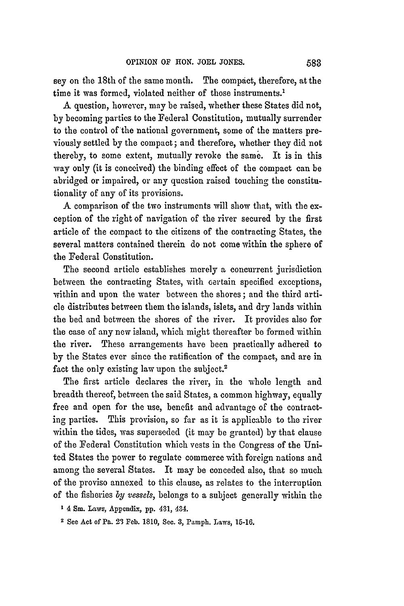sey on the 18th of the same month. The compact, therefore, at the time it was formed, violated neither of those instruments.'

A question, however, may be raised, whether these States did not, by becoming parties to the Federal Constitution, mutually surrender to the control of the national government, some of the matters previously settled by the compact; and therefore, whether they did not thereby, to some extent, mutually revoke the same. It is in this way only (it is conceived) the binding effect of the compact can be abridged or impaired, or any question raised touching the constitutionality of any of its provisions.

**A** comparison of the two instruments will show that, with the exception of the right of navigation of the river secured by the first article of the compact to the citizens of the contracting States, the several matters contained therein do not come within the sphere of the Federal Constitution.

The second article establishes merely **a** concurrent jurisdiction between the contracting States, with certain specified exceptions, within and upon the water between the shores; and the third article distributes between them the islands, islets, and dry lands within the bed and between the shores of the river. It provides also for the case of any new island, which might thereafter be formed within the river. These arrangements have been practically adhered to by the States ever since the ratification of the compact, and are in fact the only existing law upon the subject.<sup>2</sup>

The first article declares the river, in the whole length and breadth thereof, between the said States, a common highway, equally free and open for the use, benefit and advantage of the contracting parties. This provision, so far as it is applicable to the river within the tides, was superseded (it may be granted) by that clause of the Federal Constitution which vests in the Congress of the United States the power to regulate commerce with foreign nations and among the several States. It may be conceded also, that so much of the proviso annexed to this clause, as relates to the interruption of the fisheries *by vessels,* belongs to a subject generally within the

**1** 4 **Sm.** Laws, Appendix, **pp.** 481, 434.

2 **See Act** of **Pa. 23** Feb. **1810, Sec. 3, Pamph. Laws, 15-16.**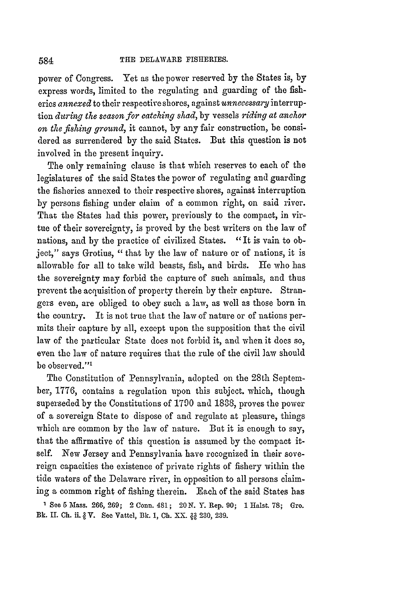power of Congress. Yet as the power reserved by the States is, **by** express words, limited to the regulating and guarding of the fishcries *annexed* to their respective shores, against *unnecessary* interruption *during the season for catching shad,* **by** vessels *riding at anchor on the fishing ground,* it cannot, by any fair construction, be considered as surrendered by the said States. But this question is not involved in the present inquiry.

The only remaining clause is that which reserves to each of the legislatures of the said States the power of regulating and guarding the fisheries annexed to their respective shores, against interruption by persons fishing under claim of a common right, on said river. That the States had this power, previously to the compact, in virtue of their sovereignty, is proved by the best writers on the law of nations, and by the practice of civilized States. *"It* is vain to object," says Grotius, *"* that by the law of nature or of nations, it is allowable for all to take wild beasts, fish, and birds. **He** who has the sovereignty may forbid the capture of such animals, and thus prevent the acquisition of property therein by their capture. Strangers even, are obliged to obey such a law, as well as those born in the country. It is not true that the law of nature or of nations permits their capture **by** all, except upon the supposition that the civil law of the particular State does not forbid it, and when it does so, even the law of nature requires that the rule of the civil law should be observed."'

The Constitution of Pennsylvania, adopted on the 28th September, 1776, contains a regulation upon this subject. which, though superseded **by** the Constitutions of 1790 and 1838, proves the power of a sovereign State to dispose of and regulate at pleasure, things which are common **by** the law of nature. But it is enough to say, that the affirmative of this question is assumed **by** the compact itself. New Jersey and Pennsylvania have recognized in their sovereign capacities the existence of private rights of fishery within the tide waters of the Delaware river, in opposition to all persons claiming a common right of fishing therein. Each of the said States has

See 5 Mass. 266, 269; 2 Conn. 481; 20N. Y. Rep. 90; 1 Halst. 78; Gro. Bk. II. Ch. ii.  $\delta$  V. See Vattel, Bk. 1, Ch. XX.  $\delta$  230, 239.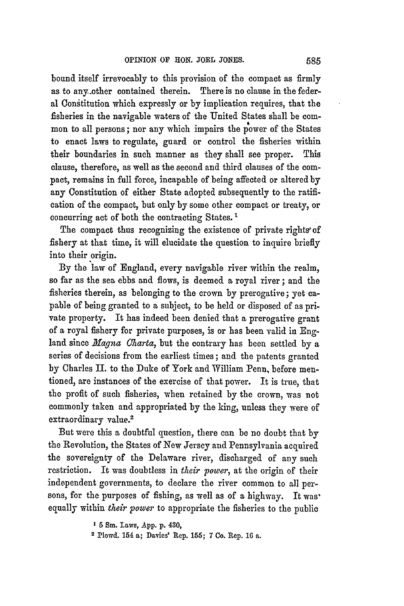bound itself irrevocably to this provision of the compact as firmly as to any-other contained therein. There is no clause in the federal Constitution which expressly or by implication requires, that the fisheries in the navigable waters of the United States shall be common to all persons; nor any which impairs the power of the States to enact laws to regulate, guard or control the fisheries within their boundaries in such manner as they shall see proper. This clause, therefore, as well as the second and third clauses of the compact, remains in full force, incapable of being affected or altered by any Constitution of either State adopted subsequently to the ratification of the compact, but only by some other compact or treaty, or concurring act of both the contracting States. '

The compact thus recognizing the existence of private rights' of fishery at that time, it will elucidate the question to inquire briefly into their origin.

**By** the law of England, every navigable river within the realm, so far as the sea ebbs and flows, is deemed a royal river; and the fisheries therein, as belonging to the crown by prerogative; yet capable of being granted to a subject, to be held or disposed of as private property. It has indeed been denied that a prerogative grant of a royal fishery for private purposes, is or has been valid in England since *Magna Oharta,* but the contrary has been settled **by** a series of decisions from the earliest times; and the patents granted **by** Charles II. to the Duke of York and William Penn, before mentioned, are instances of the exercise of that power. It is true, that the profit of such fisheries, when retained by the crown, was not commonly taken and appropriated **by** the king, unless they were of extraordinary value.<sup>2</sup>

But were this a doubtful question, there can be no doubt that by the Revolution, the States of New Jersey and Pennsylvania acquired the sovereignty of the Delaware river, discharged of any such restriction. It was doubtless in *their power,* at the origin of their independent governments, to declare the river common to all persons, for the purposes of fishing, as well as of a highway. It was equally within *their power* to appropriate the fisheries to the public

**1 5 Sm. Laws, App. p. 480,**

**2** Plowd. **154 a; Davies' Rep. 155; 7 Co. Rep. 16 a.**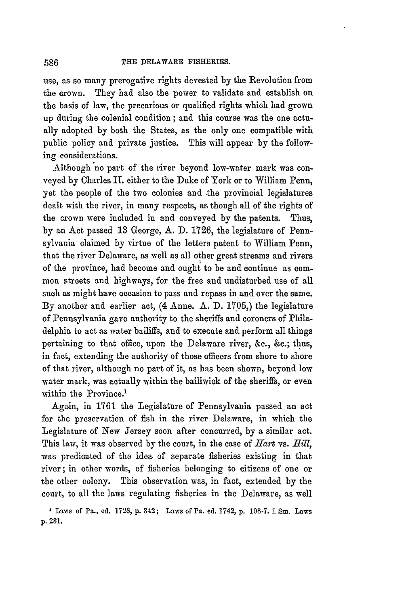use, as so many prerogative rights devested by the Revolution from the crown. They had also the power to validate and establish on the basis of law, the precarious or qualified rights which had grown up during the colonial condition; and this course was the one actually adopted **by** both the States, as the only one compatible with public policy and private justice. This will appear **by** the following considerations.

Although no part of the river beyond low-water mark was conveyed by Charles IT. either to the Duke of York or to William Penn, yet the people of the two colonies and the provincial legislatures dealt with the river, in many respects, as though all of the rights of the crown were included in and conveyed by the patents. Thus, **by** an Act passed **13** George, A. D. **1726,** the legislature of Pennsylvania claimed **by** virtue of the letters patent to William Penn, that the river Delaware, as well as all other great streams and rivers of the province, had become and ought to be and continue as common streets and highways, for the free and undisturbed use of all such as might have occasion to pass and repass in and over the same. By another and earlier act, (4 Anne. A. D. 1705,) the legislature of Pennsylvania gave authority to the sheriffs and coroners of Philadelphia to act as water bailiffs, and to execute and perform all things pertaining to that office, upon the Delaware river, &c., &c.; thus, in fact, extending the authority of those officers from shore to shore of that river, although no part of it, as has been shown, beyond low water mark, was actually within the bailiwick of the sheriffs, or even within the Province.<sup>1</sup>

Again, in 1761 the Legislature of Pennsylvania passed an act for the preservation of fish in the river Delaware, in which the Legislature of New Jersey soon after concurred, **by** a similar act. This law, it was observed by the court, in the case of Hart vs. *Hill,* was predicated of the idea of separate fisheries existing in that river; in other words, of fisheries belonging to citizens of one or the other colony. This observation was, in fact, extended **by** the court, to all the laws regulating fisheries in the Delaware, as well

Laws of **Pa., ed. 1728, p. 342;** Laws **of Pa.** ed. **1742, p. 106-7. 1 Sm.** Laws **p. 231.**

586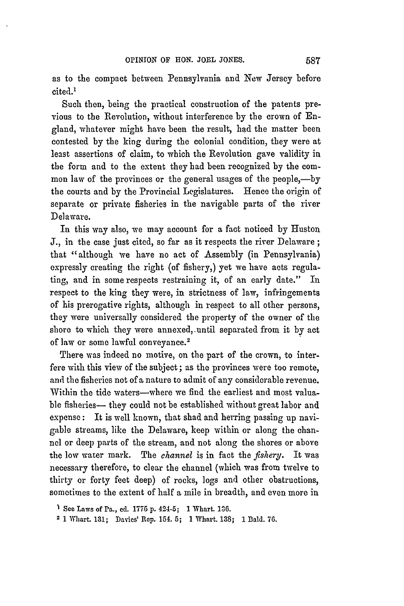as to the compact between Pennsylvania and New Jersey before cited.<sup>1</sup>

Such then, being the practical construction of the patents previous to the Revolution, without interference **by** the crown of England, whatever might have been the result, had the matter been contested **by** the king during the colonial condition, they were at least assertions of claim, to which the Revolution gave validity in the form and to the extent they had been recognized by the common law of the provinces or the general usages of the people,-by the courts and by the Provincial Legislatures. Hence the origin of separate or private fisheries in the navigable parts of the river Delaware.

In this **way** also, we may account for a fact noticed **by** Huston J., in the case just cited, so far as it respects the river Delaware **;** that "although we have no act of Assembly (in Pennsylvania) expressly creating the right (of fishery,) yet we have acts regulating, and in some respects restraining it, of an early date." In respect to the king they were, in strictness of law, infringements of his prerogative rights, although in respect to all other persons, they were universally considered the property of the owner of the shore to which they were annexed, until separated from it **by** act of law or some lawful conveyance.<sup>2</sup>

There was indeed no motive, on the part of the crown, to interfere with this view of the subject; as the provinces were too remote, and the fisheries not of a nature to admit of any considerable revenue. Within the tide waters-where we find the earliest and most valuable fisheries- they could not be established without great labor and expense: It is well known, that shad and herring passing up navigable streams, like the Delaware, keep within or along the channel or deep parts of the stream, and not along the shores or above the low water mark. The channel is in fact the *fishery.* It was necessary therefore, to clear the channel (which was from twelve to thirty or forty feet deep) of rocks, logs and other obstructions, sometimes to the extent of half a mile in breadth, and even more in

**<sup>1</sup>** See Laws of Pa., **ed. 1775 p.** 424-5; **1** Whart. **136.**

<sup>2</sup> **1** Whart. **131;** Davies' Rep. 154. **5; 1** Whart. **138; 1** Bald. **76.**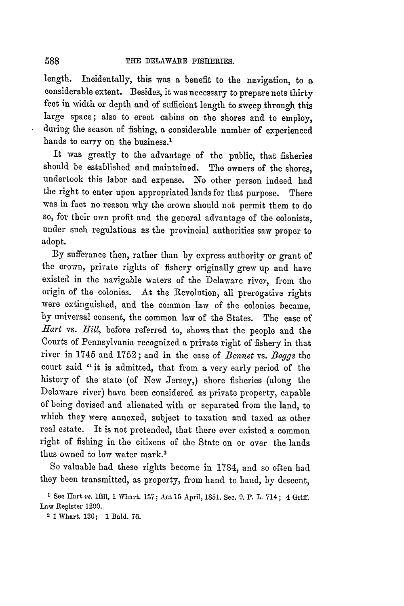length. Incidentally, this was a benefit to the navigation, to a considerable extent. Besides, it was necessary to prepare nets thirty feet in width or depth and of sufficient length to sweep through this large space; also to erect cabins on the shores and to employ, during the season of fishing, a considerable number of experienced hands to carry on the business.'

It was greatly to the advantage of the public, that fisheries should be established and maintained. The owners of the shores, undertook this labor and expense. No other person indeed had the right to enter upon appropriated lands for that purpose. There was in fact no reason why the crown should not permit them to do so, for their own profit and the general advantage of the colonists, under such regulations as the provincial authorities saw proper to adopt.

By sufferance then, rather than by express authority or grant of the crown, private rights of fishery originally grew up and have existed in the navigable waters of the Delaware river, from the origin of the colonies. At the Revolution, all prerogative rights were extinguished, and the common law of the colonies became, by universal consent, the common law of the States. The case of Hart vs. Hill, before referred to, shows that the people and the Courts of Pennsylvania recognized a private right of fishery in that river in 1745 and 1752; and in the case of *Benet* vs. *Boggs* the court said "it is admitted, that from a very early period of the history of the state (of New Jersey,) shore fisheries (along the Delaware river) have been considered as private property, capable of being devised and alienated with or separated from the land, to which they were annexed, subject to taxation and taxed as other real estate. It is not pretended, that there ever existed a common right of fishing in the citizens of the State on or over the lands thus owned to low water mark.2

So valuable had these rights become in 1784, and so often had they been transmitted, as property, from hand to hand, by descent,

588

<sup>&</sup>lt;sup>1</sup> See Hart vs. Hill, 1 Whart. 137; Act 15 April, 1851. Sec. 9. P. L. 714; 4 Griff. Law Register 1290.

**<sup>2</sup>** 1 Whart. 136; 1 Bald. **76.**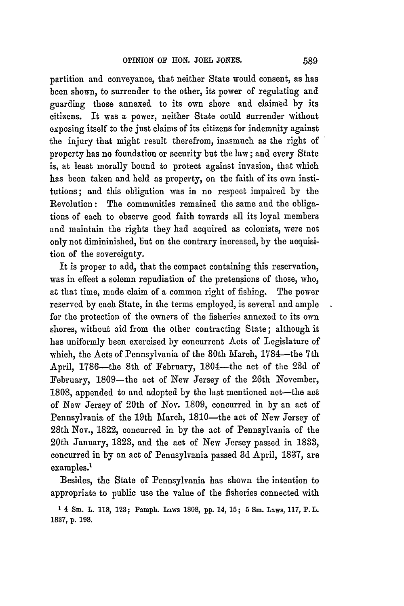partition and conveyance, that neither State would consent, as has been shown, to surrender to the other, its power of regulating and guarding those annexed to its own shore and claim-ed by its citizens. It was a power, neither State could surrender without exposing itself to the just claims of its citizens for indemnity against the injury that might result therefrom, inasmuch as the right of property has no foundation or security but the law; and every State is, at least morally bound to protect against invasion, that which has been taken and held as property, on the faith of its own institutions; and this obligation was in no respect impaired by the Revolution: The communities remained the same and the obligations of each to observe good faith towards all its loyal members and maintain the rights they had acquired as colonists, were not only not dimininished, but on the contrary increased, by the acquisition of the sovereignty.

It is proper to add, that the compact containing this reservation, was in effect a solemn repudiation of the pretensions of those, who, at that time, made claim of a common right of fishing. The power reserved by each State, in the terms employed, is several and ample for the protection of the owners of the fisheries annexed to its own shores, without aid from the other contracting State; although it has uniformly been exercised **by** concurrent Acts of Legislature of which, the Acts of Pennsylvania of the 30th March, 1784-the 7th April, 1786-the 8th of February, 1804-the act of the 23d of February, 1809-the act of New Jersey of the 26th November, 1808, appended to and adopted by the last mentioned act-the act of New Jersey of 20th of Nov. 1809, concurred in **by** an act of Pennsylvania of the 19th March, 1810-the act of New Jersey of 28th Nov., **1822,** concurred in **by** the act of Pennsylvania of the 20th January, 1823, and the act of New Jersey passed in **1883,** concurred in **by** an act of Pennsylvania passed **3d** April, **1837,** are examples.'

Besides, the State of Pennsylvania has shown the intention to appropriate to public use the value of the fisheries connected with

**<sup>1 4</sup> Sm.** L. **118, 123; Pamph. Laws 1808, pp. 14, 15; 5 Sm. Laws, 117, P. L. 1837, p. 198.**